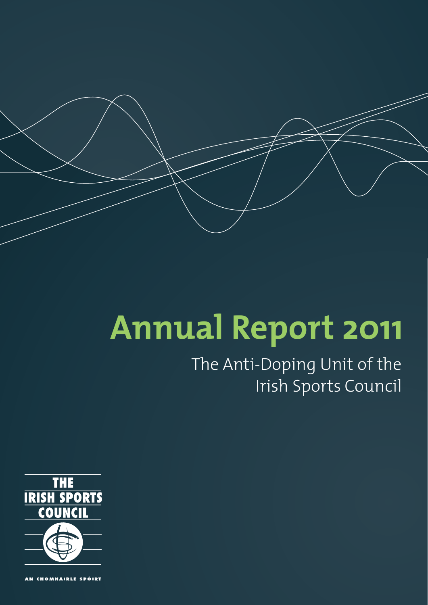

# **Annual Report 2011**

# The Anti-Doping Unit of the Irish Sports Council



AN CHOMHAIRLE SPÓIRT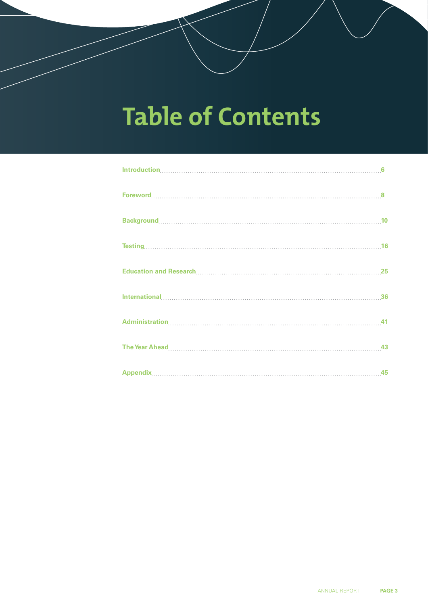# **Table of Contents**

| Introduction, 6                                                                                                                                                                                                                                                                                                                                                                                                       |  |
|-----------------------------------------------------------------------------------------------------------------------------------------------------------------------------------------------------------------------------------------------------------------------------------------------------------------------------------------------------------------------------------------------------------------------|--|
| $\textbf{Forward}[\textcolor{red}{\overline{0}}] \textbf{ .} \textbf{1} \textbf{1} \textbf{2} \textbf{3} \textbf{4} \textbf{5} \textbf{6} \textbf{6} \textbf{7} \textbf{8} \textbf{8} \textbf{9} \textbf{10} \textbf{10} \textbf{11} \textbf{12} \textbf{13} \textbf{16} \textbf{16} \textbf{17} \textbf{18} \textbf{18} \textbf{19} \textbf{19} \textbf{19} \textbf{19} \textbf{19} \textbf{19} \textbf{19} \textbf$ |  |
|                                                                                                                                                                                                                                                                                                                                                                                                                       |  |
|                                                                                                                                                                                                                                                                                                                                                                                                                       |  |
|                                                                                                                                                                                                                                                                                                                                                                                                                       |  |
|                                                                                                                                                                                                                                                                                                                                                                                                                       |  |
|                                                                                                                                                                                                                                                                                                                                                                                                                       |  |
|                                                                                                                                                                                                                                                                                                                                                                                                                       |  |
|                                                                                                                                                                                                                                                                                                                                                                                                                       |  |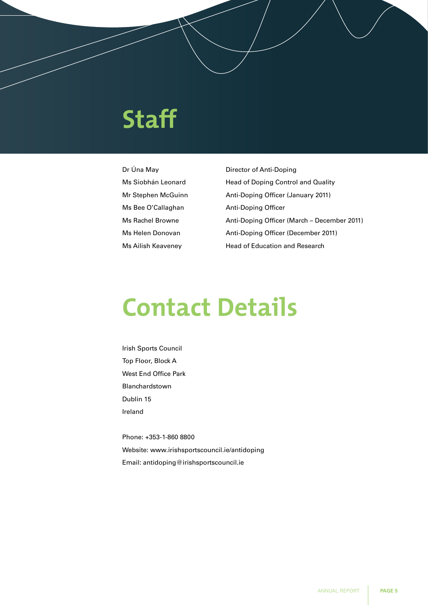# **Staff**

Ms Bee O'Callaghan Anti-Doping Officer

Dr Úna May **Director of Anti-Doping** Ms Siobhán Leonard Head of Doping Control and Quality Mr Stephen McGuinn Anti-Doping Officer (January 2011) Ms Rachel Browne Anti-Doping Officer (March – December 2011) Ms Helen Donovan Anti-Doping Officer (December 2011) Ms Ailish Keaveney Head of Education and Research

# **Contact Details**

Irish Sports Council Top Floor, Block A West End Office Park Blanchardstown Dublin 15 Ireland

Phone: +353-1-860 8800 Website: www.irishsportscouncil.ie/antidoping Email: antidoping@irishsportscouncil.ie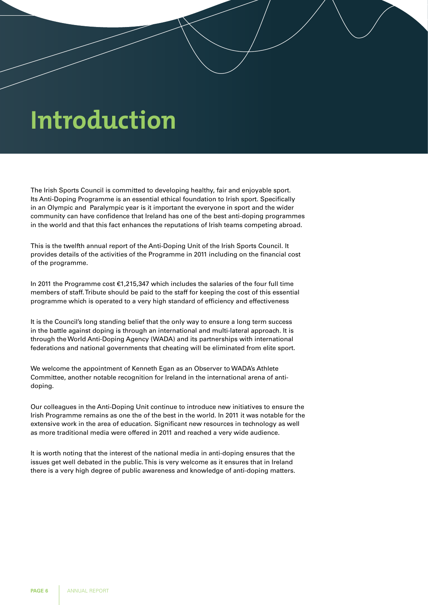# **Introduction**

The Irish Sports Council is committed to developing healthy, fair and enjoyable sport. Its Anti-Doping Programme is an essential ethical foundation to Irish sport. Specifically in an Olympic and Paralympic year is it important the everyone in sport and the wider community can have confidence that Ireland has one of the best anti-doping programmes in the world and that this fact enhances the reputations of Irish teams competing abroad.

This is the twelfth annual report of the Anti-Doping Unit of the Irish Sports Council. It provides details of the activities of the Programme in 2011 including on the financial cost of the programme.

In 2011 the Programme cost €1,215,347 which includes the salaries of the four full time members of staff. Tribute should be paid to the staff for keeping the cost of this essential programme which is operated to a very high standard of efficiency and effectiveness

It is the Council's long standing belief that the only way to ensure a long term success in the battle against doping is through an international and multi-lateral approach. It is through the World Anti-Doping Agency (WADA) and its partnerships with international federations and national governments that cheating will be eliminated from elite sport.

We welcome the appointment of Kenneth Egan as an Observer to WADA's Athlete Committee, another notable recognition for Ireland in the international arena of antidoping.

Our colleagues in the Anti-Doping Unit continue to introduce new initiatives to ensure the Irish Programme remains as one the of the best in the world. In 2011 it was notable for the extensive work in the area of education. Significant new resources in technology as well as more traditional media were offered in 2011 and reached a very wide audience.

It is worth noting that the interest of the national media in anti-doping ensures that the issues get well debated in the public. This is very welcome as it ensures that in Ireland there is a very high degree of public awareness and knowledge of anti-doping matters.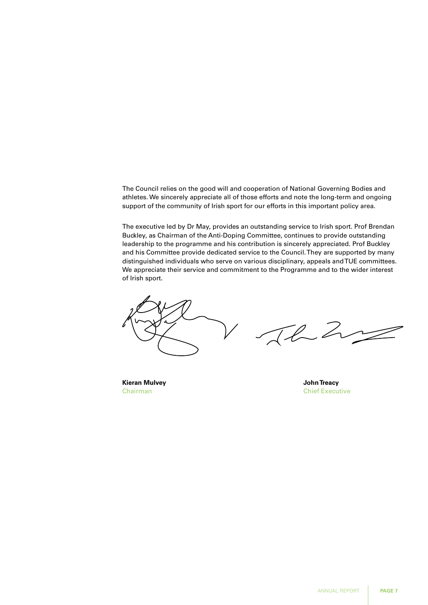The Council relies on the good will and cooperation of National Governing Bodies and athletes. We sincerely appreciate all of those efforts and note the long-term and ongoing support of the community of Irish sport for our efforts in this important policy area.

The executive led by Dr May, provides an outstanding service to Irish sport. Prof Brendan Buckley, as Chairman of the Anti-Doping Committee, continues to provide outstanding leadership to the programme and his contribution is sincerely appreciated. Prof Buckley and his Committee provide dedicated service to the Council. They are supported by many distinguished individuals who serve on various disciplinary, appeals and TUE committees. We appreciate their service and commitment to the Programme and to the wider interest of Irish sport.

Th 2

**Kieran Mulvey John Treacy**

Chairman Chairman Chief Executive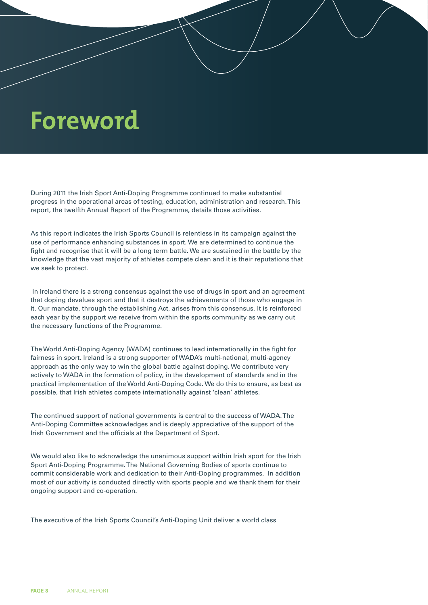# **Foreword**

During 2011 the Irish Sport Anti-Doping Programme continued to make substantial progress in the operational areas of testing, education, administration and research. This report, the twelfth Annual Report of the Programme, details those activities.

As this report indicates the Irish Sports Council is relentless in its campaign against the use of performance enhancing substances in sport. We are determined to continue the fight and recognise that it will be a long term battle. We are sustained in the battle by the knowledge that the vast majority of athletes compete clean and it is their reputations that we seek to protect.

 In Ireland there is a strong consensus against the use of drugs in sport and an agreement that doping devalues sport and that it destroys the achievements of those who engage in it. Our mandate, through the establishing Act, arises from this consensus. It is reinforced each year by the support we receive from within the sports community as we carry out the necessary functions of the Programme.

The World Anti-Doping Agency (WADA) continues to lead internationally in the fight for fairness in sport. Ireland is a strong supporter of WADA's multi-national, multi-agency approach as the only way to win the global battle against doping. We contribute very actively to WADA in the formation of policy, in the development of standards and in the practical implementation of the World Anti-Doping Code. We do this to ensure, as best as possible, that Irish athletes compete internationally against 'clean' athletes.

The continued support of national governments is central to the success of WADA. The Anti-Doping Committee acknowledges and is deeply appreciative of the support of the Irish Government and the officials at the Department of Sport.

We would also like to acknowledge the unanimous support within Irish sport for the Irish Sport Anti-Doping Programme. The National Governing Bodies of sports continue to commit considerable work and dedication to their Anti-Doping programmes. In addition most of our activity is conducted directly with sports people and we thank them for their ongoing support and co-operation.

The executive of the Irish Sports Council's Anti-Doping Unit deliver a world class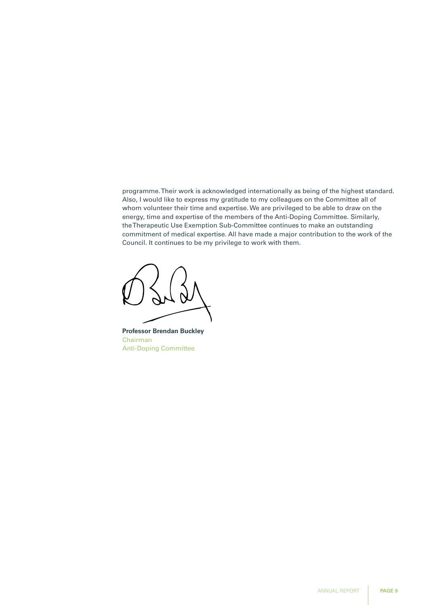programme. Their work is acknowledged internationally as being of the highest standard. Also, I would like to express my gratitude to my colleagues on the Committee all of whom volunteer their time and expertise. We are privileged to be able to draw on the energy, time and expertise of the members of the Anti-Doping Committee. Similarly, the Therapeutic Use Exemption Sub-Committee continues to make an outstanding commitment of medical expertise. All have made a major contribution to the work of the Council. It continues to be my privilege to work with them.

**Professor Brendan Buckley** Chairman Anti-Doping Committee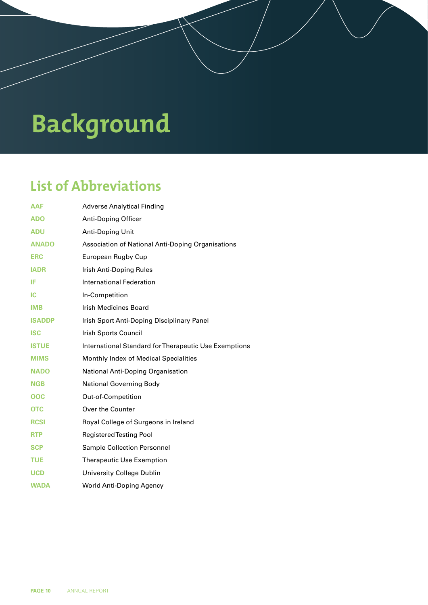# **Background**

## **List of Abbreviations**

| <b>AAF</b>    | <b>Adverse Analytical Finding</b>                     |
|---------------|-------------------------------------------------------|
| <b>ADO</b>    | <b>Anti-Doping Officer</b>                            |
| <b>ADU</b>    | Anti-Doping Unit                                      |
| <b>ANADO</b>  | Association of National Anti-Doping Organisations     |
| <b>ERC</b>    | European Rugby Cup                                    |
| <b>IADR</b>   | Irish Anti-Doping Rules                               |
| IF            | International Federation                              |
| IС            | In-Competition                                        |
| <b>IMB</b>    | <b>Irish Medicines Board</b>                          |
| <b>ISADDP</b> | Irish Sport Anti-Doping Disciplinary Panel            |
| <b>ISC</b>    | Irish Sports Council                                  |
| <b>ISTUE</b>  | International Standard for Therapeutic Use Exemptions |
| <b>MIMS</b>   | Monthly Index of Medical Specialities                 |
| <b>NADO</b>   | National Anti-Doping Organisation                     |
| <b>NGB</b>    | <b>National Governing Body</b>                        |
| OOC           | Out-of-Competition                                    |
| <b>OTC</b>    | Over the Counter                                      |
| <b>RCSI</b>   | Royal College of Surgeons in Ireland                  |
| <b>RTP</b>    | <b>Registered Testing Pool</b>                        |
| <b>SCP</b>    | <b>Sample Collection Personnel</b>                    |
| <b>TUE</b>    | <b>Therapeutic Use Exemption</b>                      |
| <b>UCD</b>    | University College Dublin                             |
| <b>WADA</b>   | World Anti-Doping Agency                              |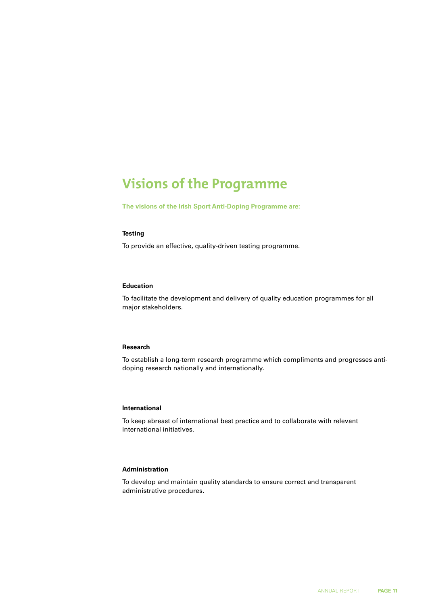## **Visions of the Programme**

**The visions of the Irish Sport Anti-Doping Programme are:** 

#### **Testing**

To provide an effective, quality-driven testing programme.

#### **Education**

To facilitate the development and delivery of quality education programmes for all major stakeholders.

#### **Research**

To establish a long-term research programme which compliments and progresses antidoping research nationally and internationally.

#### **International**

To keep abreast of international best practice and to collaborate with relevant international initiatives.

### **Administration**

To develop and maintain quality standards to ensure correct and transparent administrative procedures.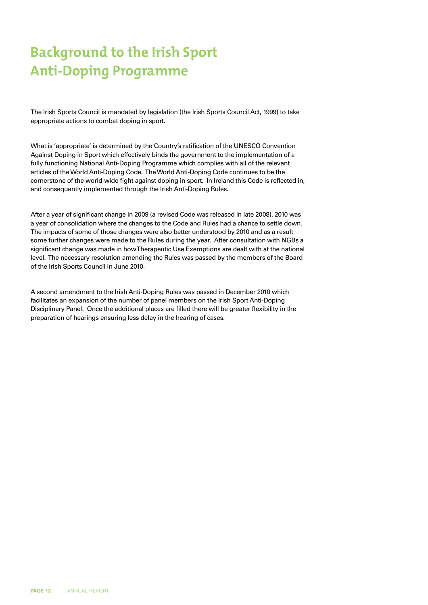# **Background to the Irish Sport Anti-Doping Programme**

The Irish Sports Council is mandated by legislation (the Irish Sports Council Act, 1999) to take appropriate actions to combat doping in sport.

What is 'appropriate' is determined by the Country's ratification of the UNESCO Convention Against Doping in Sport which effectively binds the government to the implementation of a fully functioning National Anti-Doping Programme which complies with all of the relevant articles of the World Anti-Doping Code. The World Anti-Doping Code continues to be the cornerstone of the world-wide fight against doping in sport. In Ireland this Code is reflected in, and consequently implemented through the Irish Anti-Doping Rules.

After a year of significant change in 2009 (a revised Code was released in late 2008), 2010 was a year of consolidation where the changes to the Code and Rules had a chance to settle down. The impacts of some of those changes were also better understood by 2010 and as a result some further changes were made to the Rules during the year. After consultation with NGBs a significant change was made in how Therapeutic Use Exemptions are dealt with at the national level. The necessary resolution amending the Rules was passed by the members of the Board of the Irish Sports Council in June 2010.

A second amendment to the Irish Anti-Doping Rules was passed in December 2010 which facilitates an expansion of the number of panel members on the Irish Sport Anti-Doping Disciplinary Panel. Once the additional places are filled there will be greater flexibility in the preparation of hearings ensuring less delay in the hearing of cases.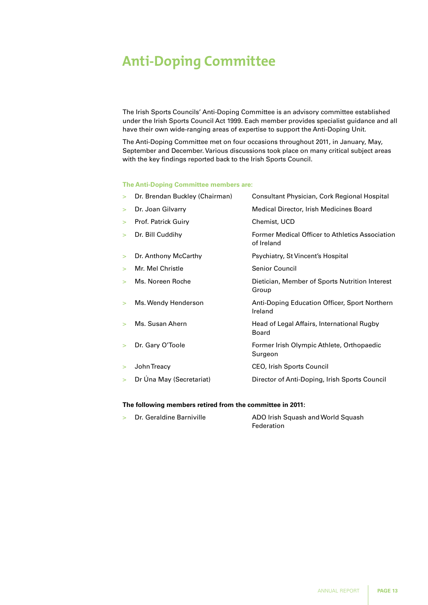## **Anti-Doping Committee**

The Irish Sports Councils' Anti-Doping Committee is an advisory committee established under the Irish Sports Council Act 1999. Each member provides specialist guidance and all have their own wide-ranging areas of expertise to support the Anti-Doping Unit.

The Anti-Doping Committee met on four occasions throughout 2011, in January, May, September and December. Various discussions took place on many critical subject areas with the key findings reported back to the Irish Sports Council.

#### **The Anti-Doping Committee members are:**

| $\geq$ | Dr. Brendan Buckley (Chairman) | Consultant Physician, Cork Regional Hospital                         |
|--------|--------------------------------|----------------------------------------------------------------------|
| $\geq$ | Dr. Joan Gilvarry              | Medical Director, Irish Medicines Board                              |
| $\geq$ | Prof. Patrick Guiry            | Chemist, UCD                                                         |
| $\geq$ | Dr. Bill Cuddihy               | <b>Former Medical Officer to Athletics Association</b><br>of Ireland |
| $\geq$ | Dr. Anthony McCarthy           | Psychiatry, St Vincent's Hospital                                    |
| $\geq$ | Mr. Mel Christle               | <b>Senior Council</b>                                                |
| $\geq$ | Ms. Noreen Roche               | Dietician, Member of Sports Nutrition Interest<br>Group              |
| ⋗      | Ms. Wendy Henderson            | Anti-Doping Education Officer, Sport Northern<br>Ireland             |
| $\geq$ | Ms. Susan Ahern                | Head of Legal Affairs, International Rugby<br><b>Board</b>           |
| $\geq$ | Dr. Gary O'Toole               | Former Irish Olympic Athlete, Orthopaedic<br>Surgeon                 |
| $\geq$ | John Treacy                    | <b>CEO, Irish Sports Council</b>                                     |
| $\geq$ | Dr Úna May (Secretariat)       | Director of Anti-Doping, Irish Sports Council                        |

#### **The following members retired from the committee in 2011:**

| Dr. Geraldine Barniville | ADO Irish Squash and World Squash |
|--------------------------|-----------------------------------|
|                          | Federation                        |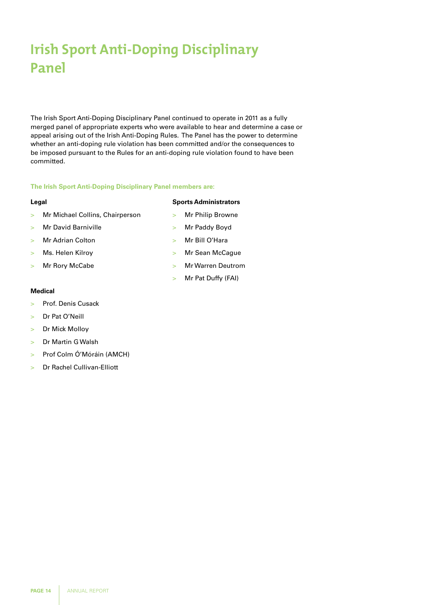## **Irish Sport Anti-Doping Disciplinary Panel**

The Irish Sport Anti-Doping Disciplinary Panel continued to operate in 2011 as a fully merged panel of appropriate experts who were available to hear and determine a case or appeal arising out of the Irish Anti-Doping Rules. The Panel has the power to determine whether an anti-doping rule violation has been committed and/or the consequences to be imposed pursuant to the Rules for an anti-doping rule violation found to have been committed.

#### **The Irish Sport Anti-Doping Disciplinary Panel members are:**

#### **Legal**

- > Mr Michael Collins, Chairperson
- > Mr David Barniville
- > Mr Adrian Colton
- > Ms. Helen Kilroy
- > Mr Rory McCabe
	-

#### **Medical**

- > Prof. Denis Cusack
- > Dr Pat O'Neill
- > Dr Mick Molloy
- > Dr Martin G Walsh
- > Prof Colm Ó'Móráin (AMCH)
- > Dr Rachel Cullivan-Elliott

#### **Sports Administrators**

- > Mr Philip Browne
- > Mr Paddy Boyd
- > Mr Bill O'Hara
- > Mr Sean McCague
- > Mr Warren Deutrom
- > Mr Pat Duffy (FAI)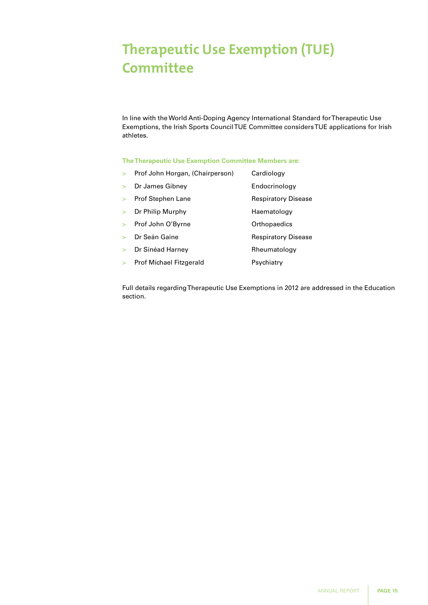## **Therapeutic Use Exemption (TUE) Committee**

In line with the World Anti-Doping Agency International Standard for Therapeutic Use Exemptions, the Irish Sports Council TUE Committee considers TUE applications for Irish athletes.

#### **The Therapeutic Use Exemption Committee Members are:**

| $\geq$ | Prof John Horgan, (Chairperson) | Cardiology                 |
|--------|---------------------------------|----------------------------|
| $\geq$ | Dr James Gibney                 | Endocrinology              |
| $\geq$ | <b>Prof Stephen Lane</b>        | <b>Respiratory Disease</b> |
| $\geq$ | Dr Philip Murphy                | Haematology                |
| $\geq$ | Prof John O'Byrne               | Orthopaedics               |
| \      | Dr Seán Gaine                   | <b>Respiratory Disease</b> |
| $\geq$ | Dr Sinéad Harney                | Rheumatology               |
| $\geq$ | <b>Prof Michael Fitzgerald</b>  | Psychiatry                 |

Full details regarding Therapeutic Use Exemptions in 2012 are addressed in the Education section.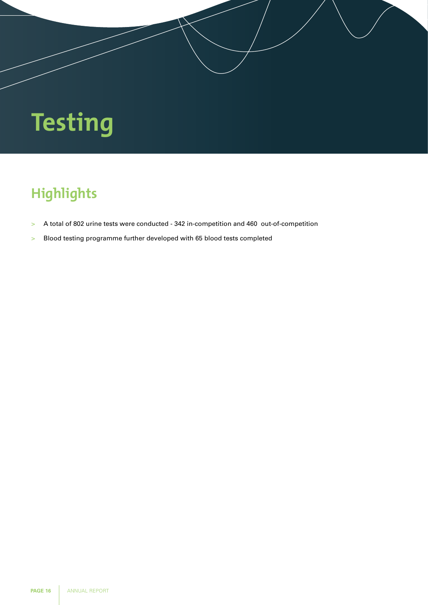# **Testing**

# **Highlights**

- > A total of 802 urine tests were conducted 342 in-competition and 460 out-of-competition
- > Blood testing programme further developed with 65 blood tests completed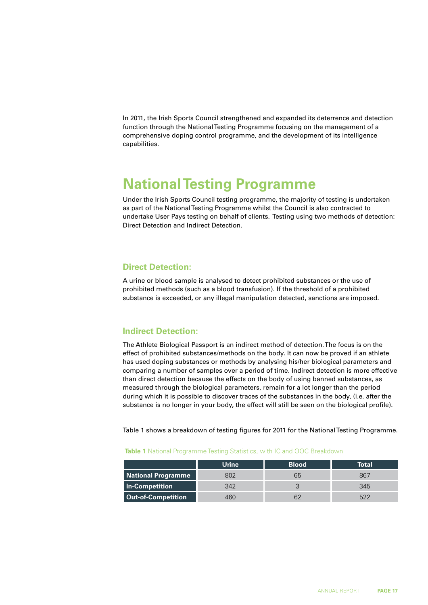In 2011, the Irish Sports Council strengthened and expanded its deterrence and detection function through the National Testing Programme focusing on the management of a comprehensive doping control programme, and the development of its intelligence capabilities.

## **National Testing Programme**

Under the Irish Sports Council testing programme, the majority of testing is undertaken as part of the National Testing Programme whilst the Council is also contracted to undertake User Pays testing on behalf of clients. Testing using two methods of detection: Direct Detection and Indirect Detection.

### **Direct Detection:**

A urine or blood sample is analysed to detect prohibited substances or the use of prohibited methods (such as a blood transfusion). If the threshold of a prohibited substance is exceeded, or any illegal manipulation detected, sanctions are imposed.

## **Indirect Detection:**

The Athlete Biological Passport is an indirect method of detection. The focus is on the effect of prohibited substances/methods on the body. It can now be proved if an athlete has used doping substances or methods by analysing his/her biological parameters and comparing a number of samples over a period of time. Indirect detection is more effective than direct detection because the effects on the body of using banned substances, as measured through the biological parameters, remain for a lot longer than the period during which it is possible to discover traces of the substances in the body, (i.e. after the substance is no longer in your body, the effect will still be seen on the biological profile).

Table 1 shows a breakdown of testing figures for 2011 for the National Testing Programme.

|                           | Urine | <b>Blood</b> | Total |
|---------------------------|-------|--------------|-------|
| <b>National Programme</b> |       | ხხ           | 867   |
| In-Competition            | 342   |              | 345   |
| <b>Out-of-Competition</b> |       |              |       |

#### **Table 1** National Programme Testing Statistics, with IC and OOC Breakdown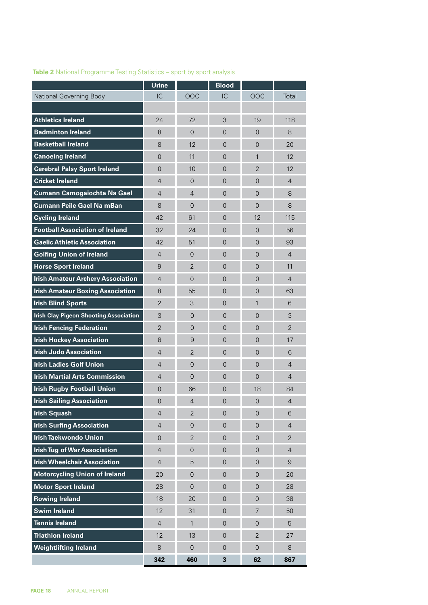|                                               | <b>Urine</b>   |                     | <b>Blood</b>            |                     |                  |
|-----------------------------------------------|----------------|---------------------|-------------------------|---------------------|------------------|
| <b>National Governing Body</b>                | IC             | OOC                 | IC                      | OOC                 | Total            |
|                                               |                |                     |                         |                     |                  |
| <b>Athletics Ireland</b>                      | 24             | 72                  | 3                       | 19                  | 118              |
| <b>Badminton Ireland</b>                      | 8              | 0                   | $\Omega$                | $\overline{0}$      | 8                |
| <b>Basketball Ireland</b>                     | 8              | 12                  | $\overline{0}$          | $\overline{0}$      | 20               |
| <b>Canoeing Ireland</b>                       | $\overline{0}$ | 11                  | $\overline{0}$          | $\mathbf{1}$        | 12               |
| <b>Cerebral Palsy Sport Ireland</b>           | $\overline{0}$ | 10                  | $\overline{0}$          | $\overline{2}$      | 12               |
| <b>Cricket Ireland</b>                        | $\overline{4}$ | $\overline{0}$      | $\overline{0}$          | $\overline{0}$      | $\overline{4}$   |
| <b>Cumann Camogaiochta Na Gael</b>            | $\overline{4}$ | 4                   | $\overline{0}$          | $\overline{0}$      | 8                |
| <b>Cumann Peile Gael Na mBan</b>              | 8              | 0                   | $\overline{0}$          | $\overline{0}$      | 8                |
| <b>Cycling Ireland</b>                        | 42             | 61                  | $\overline{0}$          | 12                  | 115              |
| <b>Football Association of Ireland</b>        | 32             | 24                  | $\overline{0}$          | 0                   | 56               |
| <b>Gaelic Athletic Association</b>            | 42             | 51                  | $\overline{0}$          | 0                   | 93               |
| <b>Golfing Union of Ireland</b>               | $\overline{4}$ | 0                   | $\Omega$                | $\Omega$            | $\overline{4}$   |
| <b>Horse Sport Ireland</b>                    | 9              | $\overline{2}$      | $\overline{0}$          | 0                   | 11               |
| <b>Irish Amateur Archery Association</b>      | $\overline{4}$ | 0                   | $\overline{0}$          | $\Omega$            | $\overline{4}$   |
| <b>Irish Amateur Boxing Association</b>       | 8              | 55                  | $\overline{0}$          | 0                   | 63               |
| <b>Irish Blind Sports</b>                     | 2              | 3                   | $\overline{0}$          | $\mathbf{1}$        | 6                |
| <b>Irish Clay Pigeon Shooting Association</b> | 3              | $\overline{0}$      | $\overline{0}$          | $\overline{0}$      | 3                |
| <b>Irish Fencing Federation</b>               | $\overline{2}$ | $\overline{0}$      | $\Omega$                | $\overline{0}$      | $\overline{2}$   |
| <b>Irish Hockey Association</b>               | 8              | 9                   | $\overline{0}$          | 0                   | 17               |
| <b>Irish Judo Association</b>                 | $\overline{4}$ | $\overline{2}$      | $\overline{0}$          | $\overline{0}$      | 6                |
| <b>Irish Ladies Golf Union</b>                | $\overline{4}$ | 0                   | $\overline{0}$          | $\overline{0}$      | 4                |
| <b>Irish Martial Arts Commission</b>          | $\overline{4}$ | 0                   | $\overline{0}$          | $\overline{0}$      | 4                |
| <b>Irish Rugby Football Union</b>             | 0              | 66                  | 0                       | 18                  | 84               |
| <b>Irish Sailing Association</b>              | $\mathbf 0$    | $\overline{4}$      | $\mathbf 0$             | $\overline{0}$      | 4                |
| <b>Irish Squash</b>                           | $\overline{4}$ | $\overline{2}$      | $\mathbf 0$             | $\mathbf 0$         | 6                |
| <b>Irish Surfing Association</b>              | $\overline{4}$ | $\mathbf 0$         | $\mathbf 0$             | $\mathsf{O}\xspace$ | $\overline{4}$   |
| <b>Irish Taekwondo Union</b>                  | $\mathbf 0$    | $\overline{2}$      | $\overline{0}$          | $\overline{0}$      | $\overline{2}$   |
| <b>Irish Tug of War Association</b>           | $\overline{4}$ | $\mathsf{O}\xspace$ | $\mathbf 0$             | $\mathsf{O}\xspace$ | $\overline{4}$   |
| <b>Irish Wheelchair Association</b>           | $\overline{4}$ | 5                   | $\mathbf 0$             | $\mathsf{O}\xspace$ | $\boldsymbol{9}$ |
| <b>Motorcycling Union of Ireland</b>          | 20             | $\mathbf 0$         | $\overline{0}$          | $\overline{0}$      | 20               |
| <b>Motor Sport Ireland</b>                    | 28             | $\overline{0}$      | $\mathbf 0$             | $\mathsf{O}\xspace$ | 28               |
| <b>Rowing Ireland</b>                         | 18             | 20                  | $\mathsf{O}$            | $\mathsf{O}\xspace$ | 38               |
| <b>Swim Ireland</b>                           | 12             | 31                  | $\overline{0}$          | $\overline{7}$      | 50               |
| <b>Tennis Ireland</b>                         | $\sqrt{4}$     | $\mathbf{1}$        | $\mathbf 0$             | $\boldsymbol{0}$    | 5                |
| <b>Triathlon Ireland</b>                      | 12             | 13                  | $\mathsf{O}\xspace$     | $\overline{2}$      | 27               |
| <b>Weightlifting Ireland</b>                  | 8              | $\mathsf{O}\xspace$ | $\overline{0}$          | $\overline{0}$      | 8                |
|                                               | 342            | 460                 | $\overline{\mathbf{3}}$ | 62                  | 867              |

ł.

### **Table 2** National Programme Testing Statistics – sport by sport analysis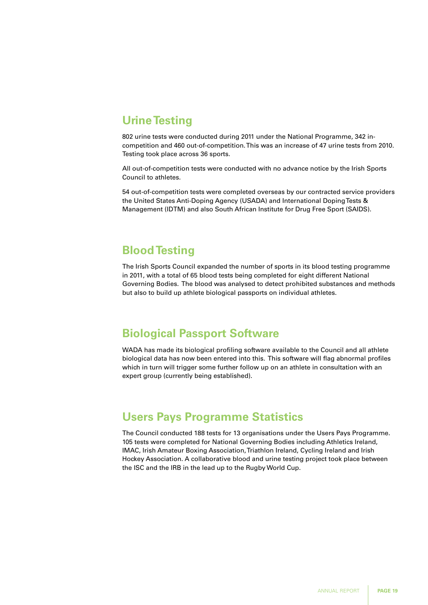## **Urine Testing**

802 urine tests were conducted during 2011 under the National Programme, 342 incompetition and 460 out-of-competition. This was an increase of 47 urine tests from 2010. Testing took place across 36 sports.

All out-of-competition tests were conducted with no advance notice by the Irish Sports Council to athletes.

54 out-of-competition tests were completed overseas by our contracted service providers the United States Anti-Doping Agency (USADA) and International Doping Tests & Management (IDTM) and also South African Institute for Drug Free Sport (SAIDS).

## **Blood Testing**

The Irish Sports Council expanded the number of sports in its blood testing programme in 2011, with a total of 65 blood tests being completed for eight different National Governing Bodies. The blood was analysed to detect prohibited substances and methods but also to build up athlete biological passports on individual athletes.

## **Biological Passport Software**

WADA has made its biological profiling software available to the Council and all athlete biological data has now been entered into this. This software will flag abnormal profiles which in turn will trigger some further follow up on an athlete in consultation with an expert group (currently being established).

## **Users Pays Programme Statistics**

The Council conducted 188 tests for 13 organisations under the Users Pays Programme. 105 tests were completed for National Governing Bodies including Athletics Ireland, IMAC, Irish Amateur Boxing Association, Triathlon Ireland, Cycling Ireland and Irish Hockey Association. A collaborative blood and urine testing project took place between the ISC and the IRB in the lead up to the Rugby World Cup.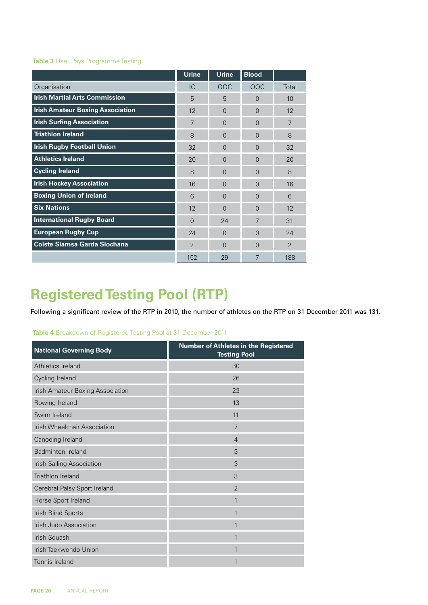#### **Table 3** User Pays Programme Testing

|                                         | <b>Urine</b>   | <b>Urine</b>   | <b>Blood</b>   |                |
|-----------------------------------------|----------------|----------------|----------------|----------------|
| Organisation                            | IC             | OOC            | OOC            | Total          |
| <b>Irish Martial Arts Commission</b>    | 5              | 5              | $\Omega$       | 10             |
| <b>Irish Amateur Boxing Association</b> | 12             | $\overline{0}$ | $\Omega$       | 12             |
| <b>Irish Surfing Association</b>        | $\overline{7}$ | $\overline{0}$ | $\Omega$       | $\overline{7}$ |
| <b>Triathlon Ireland</b>                | 8              | $\Omega$       | $\Omega$       | 8              |
| <b>Irish Rugby Football Union</b>       | 32             | $\Omega$       | $\Omega$       | 32             |
| <b>Athletics Ireland</b>                | 20             | $\Omega$       | $\Omega$       | 20             |
| <b>Cycling Ireland</b>                  | 8              | $\overline{0}$ | $\overline{0}$ | 8              |
| <b>Irish Hockey Association</b>         | 16             | $\Omega$       | $\Omega$       | 16             |
| <b>Boxing Union of Ireland</b>          | 6              | $\Omega$       | $\Omega$       | 6              |
| <b>Six Nations</b>                      | 12             | $\Omega$       | $\Omega$       | 12             |
| <b>International Rugby Board</b>        | $\Omega$       | 24             | 7              | 31             |
| <b>European Rugby Cup</b>               | 24             | $\Omega$       | $\Omega$       | 24             |
| <b>Coiste Siamsa Garda Siochana</b>     | $\overline{2}$ | $\Omega$       | $\Omega$       | 2              |
|                                         | 152            | 29             | 7              | 188            |

## **Registered Testing Pool (RTP)**

Following a significant review of the RTP in 2010, the number of athletes on the RTP on 31 December 2011 was 131.

#### **Table 4** Breakdown of Registered Testing Pool at 31 December 2011

| <b>National Governing Body</b>      | <b>Number of Athletes in the Registered</b><br><b>Testing Pool</b> |
|-------------------------------------|--------------------------------------------------------------------|
| Athletics Ireland                   | 30                                                                 |
| Cycling Ireland                     | 26                                                                 |
| Irish Amateur Boxing Association    | 23                                                                 |
| Rowing Ireland                      | 13                                                                 |
| Swim Ireland                        | 11                                                                 |
| <b>Irish Wheelchair Association</b> | $\overline{7}$                                                     |
| Canoeing Ireland                    | $\overline{4}$                                                     |
| <b>Badminton Ireland</b>            | 3                                                                  |
| Irish Sailing Association           | 3                                                                  |
| Triathlon Ireland                   | 3                                                                  |
| Cerebral Palsy Sport Ireland        | $\mathfrak{D}$                                                     |
| Horse Sport Ireland                 | 1                                                                  |
| Irish Blind Sports                  | 1                                                                  |
| Irish Judo Association              | 1                                                                  |
| Irish Squash                        | 1                                                                  |
| Irish Taekwondo Union               | 1                                                                  |
| Tennis Ireland                      | 1                                                                  |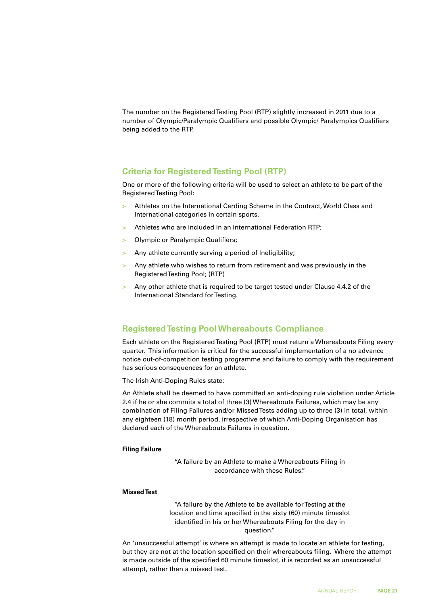The number on the Registered Testing Pool (RTP) slightly increased in 2011 due to a number of Olympic/Paralympic Qualifiers and possible Olympic/ Paralympics Qualifiers being added to the RTP.

### **Criteria for Registered Testing Pool (RTP)**

One or more of the following criteria will be used to select an athlete to be part of the Registered Testing Pool:

- > Athletes on the International Carding Scheme in the Contract, World Class and International categories in certain sports.
- > Athletes who are included in an International Federation RTP;
- > Olympic or Paralympic Qualifiers;
- > Any athlete currently serving a period of Ineligibility;
- Any athlete who wishes to return from retirement and was previously in the Registered Testing Pool; (RTP)
- > Any other athlete that is required to be target tested under Clause 4.4.2 of the International Standard for Testing.

### **Registered Testing Pool Whereabouts Compliance**

Each athlete on the Registered Testing Pool (RTP) must return a Whereabouts Filing every quarter. This information is critical for the successful implementation of a no advance notice out-of-competition testing programme and failure to comply with the requirement has serious consequences for an athlete.

The Irish Anti-Doping Rules state:

An Athlete shall be deemed to have committed an anti-doping rule violation under Article 2.4 if he or she commits a total of three (3) Whereabouts Failures, which may be any combination of Filing Failures and/or Missed Tests adding up to three (3) in total, within any eighteen (18) month period, irrespective of which Anti-Doping Organisation has declared each of the Whereabouts Failures in question.

#### **Filing Failure**

"A failure by an Athlete to make a Whereabouts Filing in accordance with these Rules."

#### **Missed Test**

"A failure by the Athlete to be available for Testing at the location and time specified in the sixty (60) minute timeslot identified in his or her Whereabouts Filing for the day in question."

An 'unsuccessful attempt' is where an attempt is made to locate an athlete for testing, but they are not at the location specified on their whereabouts filing. Where the attempt is made outside of the specified 60 minute timeslot, it is recorded as an unsuccessful attempt, rather than a missed test.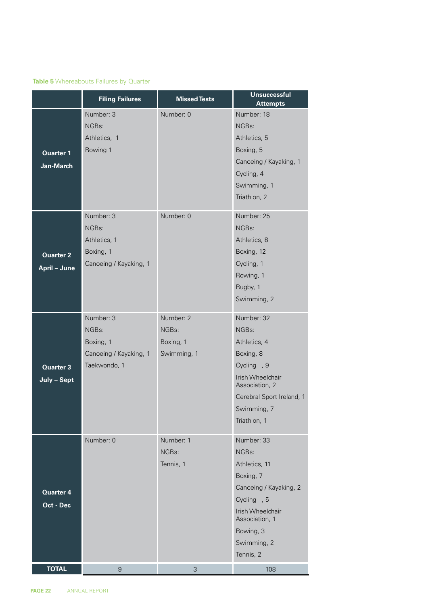### **Table 5** Whereabouts Failures by Quarter

|                  | <b>Filing Failures</b> | <b>Missed Tests</b> | <b>Unsuccessful</b>                |
|------------------|------------------------|---------------------|------------------------------------|
|                  |                        |                     | <b>Attempts</b>                    |
|                  | Number: 3              | Number: 0           | Number: 18                         |
|                  | NGBs:                  |                     | NGBs:                              |
|                  | Athletics, 1           |                     | Athletics, 5                       |
| <b>Quarter 1</b> | Rowing 1               |                     | Boxing, 5                          |
| Jan-March        |                        |                     | Canoeing / Kayaking, 1             |
|                  |                        |                     | Cycling, 4                         |
|                  |                        |                     | Swimming, 1                        |
|                  |                        |                     | Triathlon, 2                       |
|                  | Number: 3              | Number: 0           | Number: 25                         |
|                  | NGBs:                  |                     | NGBs:                              |
|                  | Athletics, 1           |                     | Athletics, 8                       |
| <b>Quarter 2</b> | Boxing, 1              |                     | Boxing, 12                         |
| April - June     | Canoeing / Kayaking, 1 |                     | Cycling, 1                         |
|                  |                        |                     | Rowing, 1                          |
|                  |                        |                     | Rugby, 1                           |
|                  |                        |                     | Swimming, 2                        |
|                  | Number: 3              | Number: 2           | Number: 32                         |
|                  | NGBs:                  | NGBs:               | NGBs:                              |
|                  | Boxing, 1              | Boxing, 1           | Athletics, 4                       |
|                  | Canoeing / Kayaking, 1 | Swimming, 1         | Boxing, 8                          |
| <b>Quarter 3</b> | Taekwondo, 1           |                     | Cycling <sub>, 9</sub>             |
| July - Sept      |                        |                     | Irish Wheelchair                   |
|                  |                        |                     | Association, 2                     |
|                  |                        |                     | Cerebral Sport Ireland, 1          |
|                  |                        |                     | Swimming, 7                        |
|                  |                        |                     | Triathlon, 1                       |
|                  | Number: 0              | Number: 1           | Number: 33                         |
|                  |                        | NGBs:               | NGBs:                              |
|                  |                        | Tennis, 1           | Athletics, 11                      |
|                  |                        |                     | Boxing, 7                          |
| <b>Quarter 4</b> |                        |                     | Canoeing / Kayaking, 2             |
| Oct - Dec        |                        |                     | Cycling <sub>, 5</sub>             |
|                  |                        |                     | Irish Wheelchair<br>Association, 1 |
|                  |                        |                     | Rowing, 3                          |
|                  |                        |                     | Swimming, 2                        |
|                  |                        |                     | Tennis, 2                          |
| <b>TOTAL</b>     | $\mathsf{9}$           | 3                   | 108                                |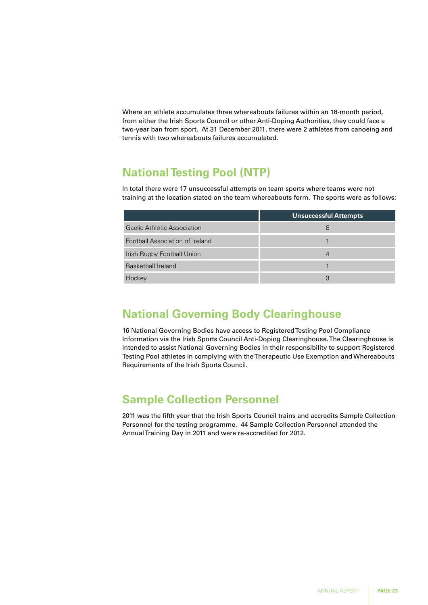Where an athlete accumulates three whereabouts failures within an 18-month period, from either the Irish Sports Council or other Anti-Doping Authorities, they could face a two-year ban from sport. At 31 December 2011, there were 2 athletes from canoeing and tennis with two whereabouts failures accumulated.

## **National Testing Pool (NTP)**

In total there were 17 unsuccessful attempts on team sports where teams were not training at the location stated on the team whereabouts form. The sports were as follows:

|                                 | <b>Unsuccessful Attempts</b> |
|---------------------------------|------------------------------|
| Gaelic Athletic Association     | 8                            |
| Football Association of Ireland |                              |
| Irish Rugby Football Union      |                              |
| Basketball Ireland              |                              |
| Hockey                          |                              |

## **National Governing Body Clearinghouse**

16 National Governing Bodies have access to Registered Testing Pool Compliance Information via the Irish Sports Council Anti-Doping Clearinghouse. The Clearinghouse is intended to assist National Governing Bodies in their responsibility to support Registered Testing Pool athletes in complying with the Therapeutic Use Exemption and Whereabouts Requirements of the Irish Sports Council.

## **Sample Collection Personnel**

2011 was the fifth year that the Irish Sports Council trains and accredits Sample Collection Personnel for the testing programme. 44 Sample Collection Personnel attended the Annual Training Day in 2011 and were re-accredited for 2012.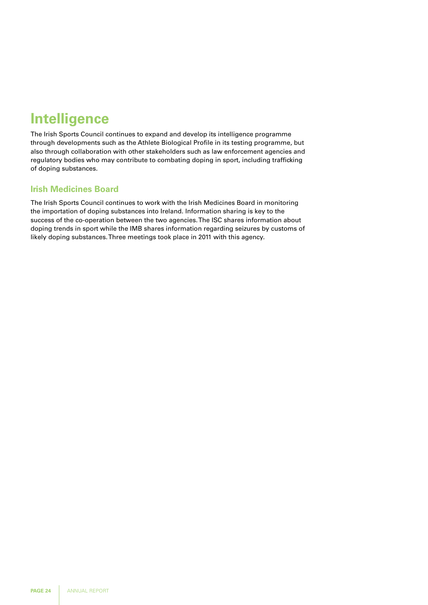## **Intelligence**

The Irish Sports Council continues to expand and develop its intelligence programme through developments such as the Athlete Biological Profile in its testing programme, but also through collaboration with other stakeholders such as law enforcement agencies and regulatory bodies who may contribute to combating doping in sport, including trafficking of doping substances.

## **Irish Medicines Board**

The Irish Sports Council continues to work with the Irish Medicines Board in monitoring the importation of doping substances into Ireland. Information sharing is key to the success of the co-operation between the two agencies. The ISC shares information about doping trends in sport while the IMB shares information regarding seizures by customs of likely doping substances. Three meetings took place in 2011 with this agency.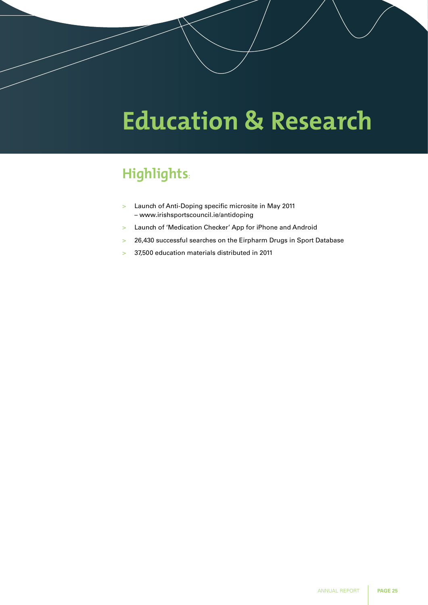# **Education & Research**

## **Highlights:**

- > Launch of Anti-Doping specific microsite in May 2011 – www.irishsportscouncil.ie/antidoping
- > Launch of 'Medication Checker' App for iPhone and Android
- > 26,430 successful searches on the Eirpharm Drugs in Sport Database
- > 37,500 education materials distributed in 2011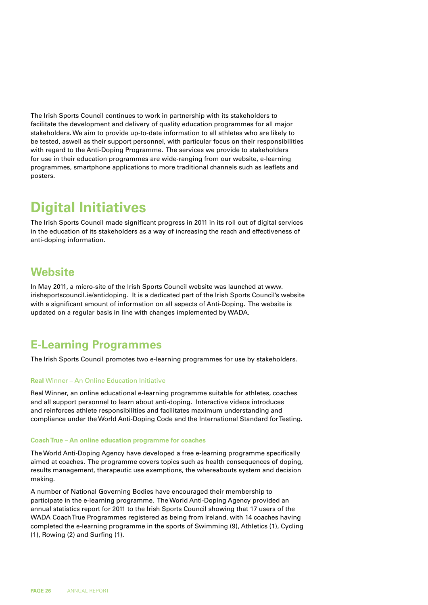The Irish Sports Council continues to work in partnership with its stakeholders to facilitate the development and delivery of quality education programmes for all major stakeholders. We aim to provide up-to-date information to all athletes who are likely to be tested, aswell as their support personnel, with particular focus on their responsibilities with regard to the Anti-Doping Programme. The services we provide to stakeholders for use in their education programmes are wide-ranging from our website, e-learning programmes, smartphone applications to more traditional channels such as leaflets and posters.

## **Digital Initiatives**

The Irish Sports Council made significant progress in 2011 in its roll out of digital services in the education of its stakeholders as a way of increasing the reach and effectiveness of anti-doping information.

## **Website**

In May 2011, a micro-site of the Irish Sports Council website was launched at www. irishsportscouncil.ie/antidoping. It is a dedicated part of the Irish Sports Council's website with a significant amount of information on all aspects of Anti-Doping. The website is updated on a regular basis in line with changes implemented by WADA.

## **E-Learning Programmes**

The Irish Sports Council promotes two e-learning programmes for use by stakeholders.

#### **Real** Winner – An Online Education Initiative

Real Winner, an online educational e-learning programme suitable for athletes, coaches and all support personnel to learn about anti-doping. Interactive videos introduces and reinforces athlete responsibilities and facilitates maximum understanding and compliance under the World Anti-Doping Code and the International Standard for Testing.

#### **Coach True – An online education programme for coaches**

The World Anti-Doping Agency have developed a free e-learning programme specifically aimed at coaches. The programme covers topics such as health consequences of doping, results management, therapeutic use exemptions, the whereabouts system and decision making.

A number of National Governing Bodies have encouraged their membership to participate in the e-learning programme. The World Anti-Doping Agency provided an annual statistics report for 2011 to the Irish Sports Council showing that 17 users of the WADA Coach True Programmes registered as being from Ireland, with 14 coaches having completed the e-learning programme in the sports of Swimming (9), Athletics (1), Cycling (1), Rowing (2) and Surfing (1).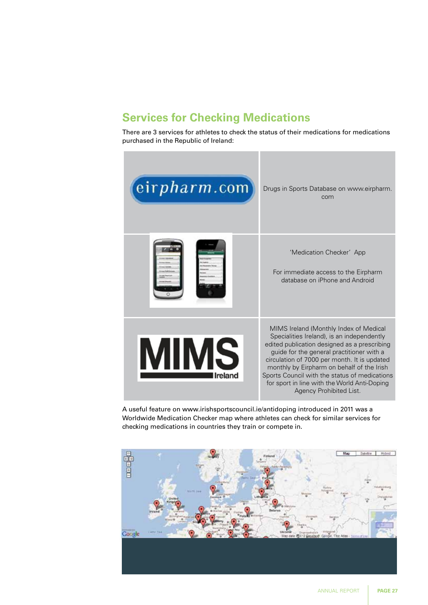## **Services for Checking Medications**

There are 3 services for athletes to check the status of their medications for medications purchased in the Republic of Ireland:



A useful feature on www.irishsportscouncil.ie/antidoping introduced in 2011 was a Worldwide Medication Checker map where athletes can check for similar services for checking medications in countries they train or compete in.

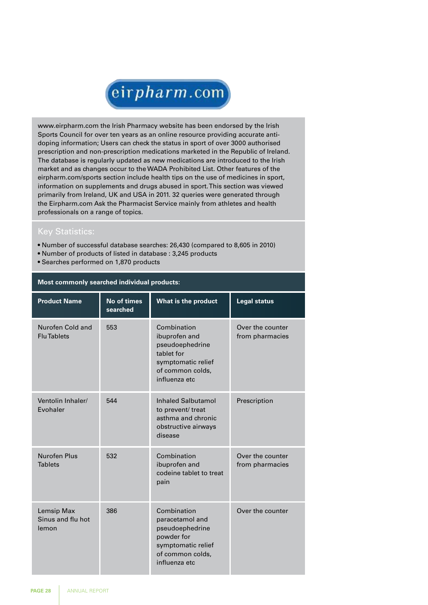

www.eirpharm.com the Irish Pharmacy website has been endorsed by the Irish Sports Council for over ten years as an online resource providing accurate antidoping information; Users can check the status in sport of over 3000 authorised prescription and non-prescription medications marketed in the Republic of Ireland. The database is regularly updated as new medications are introduced to the Irish market and as changes occur to the WADA Prohibited List. Other features of the eirpharm.com/sports section include health tips on the use of medicines in sport, information on supplements and drugs abused in sport. This section was viewed primarily from Ireland, UK and USA in 2011. 32 queries were generated through the Eirpharm.com Ask the Pharmacist Service mainly from athletes and health professionals on a range of topics.

## Key Statistics:

- Number of successful database searches: 26,430 (compared to 8,605 in 2010)
- Number of products of listed in database : 3,245 products
- Searches performed on 1,870 products

| <b>Product Name</b>                      | <b>No of times</b><br>searched | What is the product                                                                                                        | <b>Legal status</b>                 |
|------------------------------------------|--------------------------------|----------------------------------------------------------------------------------------------------------------------------|-------------------------------------|
| Nurofen Cold and<br><b>Flu Tablets</b>   | 553                            | Combination<br>ibuprofen and<br>pseudoephedrine<br>tablet for<br>symptomatic relief<br>of common colds,<br>influenza etc   | Over the counter<br>from pharmacies |
| Ventolin Inhaler/<br>Evohaler            | 544                            | <b>Inhaled Salbutamol</b><br>to prevent/ treat<br>asthma and chronic<br>obstructive airways<br>disease                     | Prescription                        |
| Nurofen Plus<br><b>Tablets</b>           | 532                            | Combination<br>ibuprofen and<br>codeine tablet to treat<br>pain                                                            | Over the counter<br>from pharmacies |
| Lemsip Max<br>Sinus and flu hot<br>lemon | 386                            | Combination<br>paracetamol and<br>pseudoephedrine<br>powder for<br>symptomatic relief<br>of common colds,<br>influenza etc | Over the counter                    |

#### **Most commonly searched individual products:**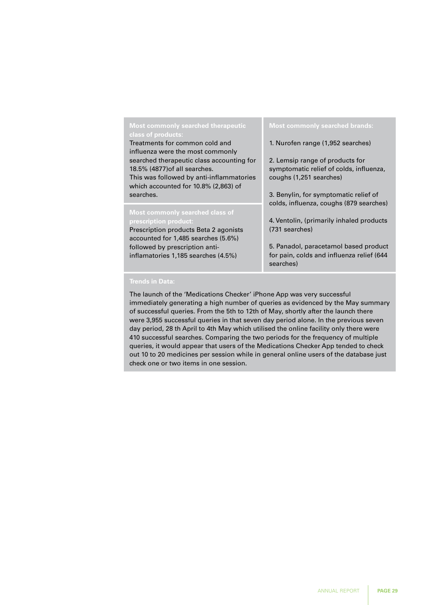## **Most commonly searched therapeutic**

Treatments for common cold and influenza were the most commonly searched therapeutic class accounting for 18.5% (4877)of all searches. This was followed by anti-inflammatories which accounted for 10.8% (2,863) of searches.

#### **Most commonly searched class of prescription product:**

Prescription products Beta 2 agonists accounted for 1,485 searches (5.6%) followed by prescription antiinflamatories 1,185 searches (4.5%)

1. Nurofen range (1,952 searches)

2. Lemsip range of products for symptomatic relief of colds, influenza, coughs (1,251 searches)

3. Benylin, for symptomatic relief of colds, influenza, coughs (879 searches)

4. Ventolin, (primarily inhaled products (731 searches)

5. Panadol, paracetamol based product for pain, colds and influenza relief (644 searches)

#### **Trends in Data:**

The launch of the 'Medications Checker' iPhone App was very successful immediately generating a high number of queries as evidenced by the May summary of successful queries. From the 5th to 12th of May, shortly after the launch there were 3,955 successful queries in that seven day period alone. In the previous seven day period, 28 th April to 4th May which utilised the online facility only there were 410 successful searches. Comparing the two periods for the frequency of multiple queries, it would appear that users of the Medications Checker App tended to check out 10 to 20 medicines per session while in general online users of the database just check one or two items in one session.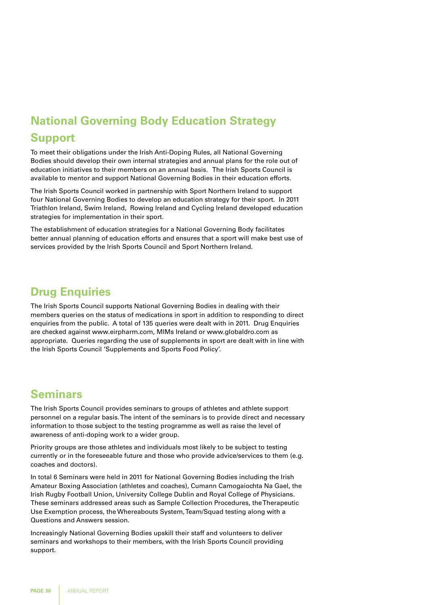## **National Governing Body Education Strategy Support**

To meet their obligations under the Irish Anti-Doping Rules, all National Governing Bodies should develop their own internal strategies and annual plans for the role out of education initiatives to their members on an annual basis. The Irish Sports Council is available to mentor and support National Governing Bodies in their education efforts.

The Irish Sports Council worked in partnership with Sport Northern Ireland to support four National Governing Bodies to develop an education strategy for their sport. In 2011 Triathlon Ireland, Swim Ireland, Rowing Ireland and Cycling Ireland developed education strategies for implementation in their sport.

The establishment of education strategies for a National Governing Body facilitates better annual planning of education efforts and ensures that a sport will make best use of services provided by the Irish Sports Council and Sport Northern Ireland.

## **Drug Enquiries**

The Irish Sports Council supports National Governing Bodies in dealing with their members queries on the status of medications in sport in addition to responding to direct enquiries from the public. A total of 135 queries were dealt with in 2011. Drug Enquiries are checked against www.eirpharm.com, MIMs Ireland or www.globaldro.com as appropriate. Queries regarding the use of supplements in sport are dealt with in line with the Irish Sports Council 'Supplements and Sports Food Policy'.

## **Seminars**

The Irish Sports Council provides seminars to groups of athletes and athlete support personnel on a regular basis. The intent of the seminars is to provide direct and necessary information to those subject to the testing programme as well as raise the level of awareness of anti-doping work to a wider group.

Priority groups are those athletes and individuals most likely to be subject to testing currently or in the foreseeable future and those who provide advice/services to them (e.g. coaches and doctors).

In total 6 Seminars were held in 2011 for National Governing Bodies including the Irish Amateur Boxing Association (athletes and coaches), Cumann Camogaiochta Na Gael, the Irish Rugby Football Union, University College Dublin and Royal College of Physicians. These seminars addressed areas such as Sample Collection Procedures, the Therapeutic Use Exemption process, the Whereabouts System, Team/Squad testing along with a Questions and Answers session.

Increasingly National Governing Bodies upskill their staff and volunteers to deliver seminars and workshops to their members, with the Irish Sports Council providing support.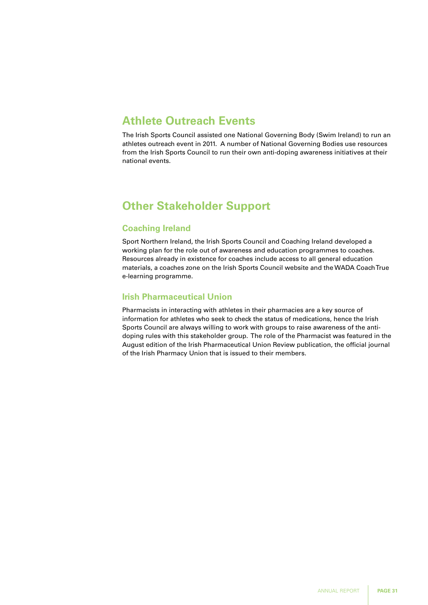## **Athlete Outreach Events**

The Irish Sports Council assisted one National Governing Body (Swim Ireland) to run an athletes outreach event in 2011. A number of National Governing Bodies use resources from the Irish Sports Council to run their own anti-doping awareness initiatives at their national events.

## **Other Stakeholder Support**

## **Coaching Ireland**

Sport Northern Ireland, the Irish Sports Council and Coaching Ireland developed a working plan for the role out of awareness and education programmes to coaches. Resources already in existence for coaches include access to all general education materials, a coaches zone on the Irish Sports Council website and the WADA Coach True e-learning programme.

## **Irish Pharmaceutical Union**

Pharmacists in interacting with athletes in their pharmacies are a key source of information for athletes who seek to check the status of medications, hence the Irish Sports Council are always willing to work with groups to raise awareness of the antidoping rules with this stakeholder group. The role of the Pharmacist was featured in the August edition of the Irish Pharmaceutical Union Review publication, the official journal of the Irish Pharmacy Union that is issued to their members.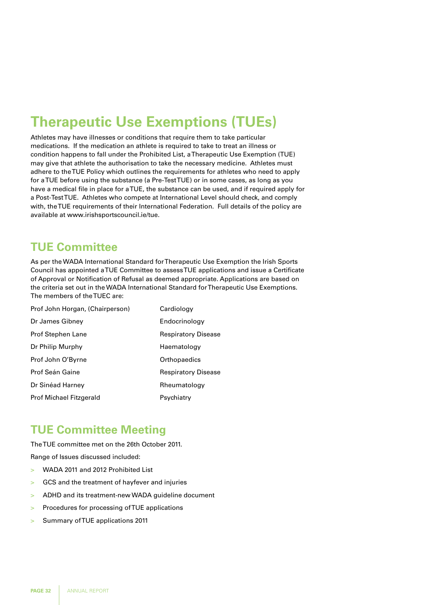## **Therapeutic Use Exemptions (TUEs)**

Athletes may have illnesses or conditions that require them to take particular medications. If the medication an athlete is required to take to treat an illness or condition happens to fall under the Prohibited List, a Therapeutic Use Exemption (TUE) may give that athlete the authorisation to take the necessary medicine. Athletes must adhere to the TUE Policy which outlines the requirements for athletes who need to apply for a TUE before using the substance (a Pre-Test TUE) or in some cases, as long as you have a medical file in place for a TUE, the substance can be used, and if required apply for a Post-Test TUE. Athletes who compete at International Level should check, and comply with, the TUE requirements of their International Federation. Full details of the policy are available at www.irishsportscouncil.ie/tue.

## **TUE Committee**

As per the WADA International Standard for Therapeutic Use Exemption the Irish Sports Council has appointed a TUE Committee to assess TUE applications and issue a Certificate of Approval or Notification of Refusal as deemed appropriate. Applications are based on the criteria set out in the WADA International Standard for Therapeutic Use Exemptions. The members of the TUEC are:

| Prof John Horgan, (Chairperson) | Cardiology                 |
|---------------------------------|----------------------------|
| Dr James Gibney                 | Endocrinology              |
| Prof Stephen Lane               | Respiratory Disease        |
| Dr Philip Murphy                | Haematology                |
| Prof John O'Byrne               | Orthopaedics               |
| <b>Prof Seán Gaine</b>          | <b>Respiratory Disease</b> |
| Dr Sinéad Harney                | Rheumatology               |
| <b>Prof Michael Fitzgerald</b>  | Psychiatry                 |

## **TUE Committee Meeting**

The TUE committee met on the 26th October 2011.

Range of Issues discussed included:

- > WADA 2011 and 2012 Prohibited List
- > GCS and the treatment of hayfever and injuries
- > ADHD and its treatment-new WADA guideline document
- > Procedures for processing of TUE applications
- > Summary of TUE applications 2011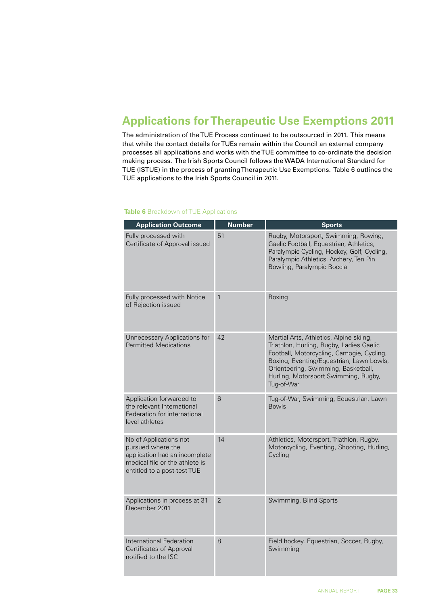## **Applications for Therapeutic Use Exemptions 2011**

The administration of the TUE Process continued to be outsourced in 2011. This means that while the contact details for TUEs remain within the Council an external company processes all applications and works with the TUE committee to co-ordinate the decision making process. The Irish Sports Council follows the WADA International Standard for TUE (ISTUE) in the process of granting Therapeutic Use Exemptions. Table 6 outlines the TUE applications to the Irish Sports Council in 2011.

#### **Application Outcome Number Sports** Fully processed with Certificate of Approval issued 51 Rugby, Motorsport, Swimming, Rowing, Gaelic Football, Equestrian, Athletics, Paralympic Cycling, Hockey, Golf, Cycling, Paralympic Athletics, Archery, Ten Pin Bowling, Paralympic Boccia Fully processed with Notice of Rejection issued 1 Boxing Unnecessary Applications for Permitted Medications 42 Martial Arts, Athletics, Alpine skiing, Triathlon, Hurling, Rugby, Ladies Gaelic Football, Motorcycling, Camogie, Cycling, Boxing, Eventing/Equestrian, Lawn bowls, Orienteering, Swimming, Basketball, Hurling, Motorsport Swimming, Rugby, Tug-of-War Application forwarded to the relevant International Federation for international level athletes 6 Tug-of-War, Swimming, Equestrian, Lawn Bowls No of Applications not pursued where the application had an incomplete medical file or the athlete is entitled to a post-test TUE 14 **Athletics, Motorsport, Triathlon, Rugby,** Motorcycling, Eventing, Shooting, Hurling, Cycling Applications in process at 31 December 2011 2 Swimming, Blind Sports International Federation Certificates of Approval notified to the ISC 8 **Field hockey, Equestrian, Soccer, Rugby, Figure** Swimming

#### **Table 6** Breakdown of TUE Applications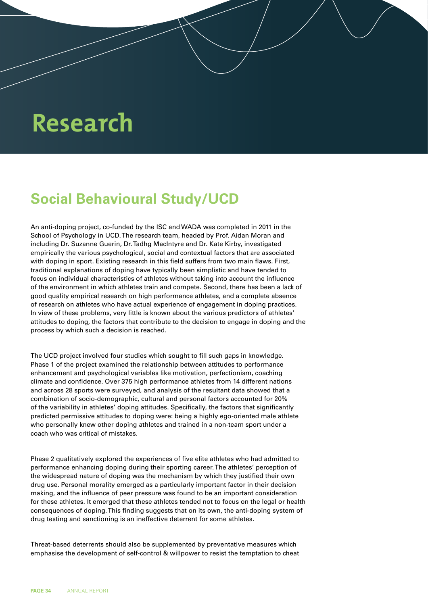# **Research**

## **Social Behavioural Study/UCD**

An anti-doping project, co-funded by the ISC and WADA was completed in 2011 in the School of Psychology in UCD. The research team, headed by Prof. Aidan Moran and including Dr. Suzanne Guerin, Dr. Tadhg MacIntyre and Dr. Kate Kirby, investigated empirically the various psychological, social and contextual factors that are associated with doping in sport. Existing research in this field suffers from two main flaws. First, traditional explanations of doping have typically been simplistic and have tended to focus on individual characteristics of athletes without taking into account the influence of the environment in which athletes train and compete. Second, there has been a lack of good quality empirical research on high performance athletes, and a complete absence of research on athletes who have actual experience of engagement in doping practices. In view of these problems, very little is known about the various predictors of athletes' attitudes to doping, the factors that contribute to the decision to engage in doping and the process by which such a decision is reached.

The UCD project involved four studies which sought to fill such gaps in knowledge. Phase 1 of the project examined the relationship between attitudes to performance enhancement and psychological variables like motivation, perfectionism, coaching climate and confidence. Over 375 high performance athletes from 14 different nations and across 28 sports were surveyed, and analysis of the resultant data showed that a combination of socio-demographic, cultural and personal factors accounted for 20% of the variability in athletes' doping attitudes. Specifically, the factors that significantly predicted permissive attitudes to doping were: being a highly ego-oriented male athlete who personally knew other doping athletes and trained in a non-team sport under a coach who was critical of mistakes.

Phase 2 qualitatively explored the experiences of five elite athletes who had admitted to performance enhancing doping during their sporting career. The athletes' perception of the widespread nature of doping was the mechanism by which they justified their own drug use. Personal morality emerged as a particularly important factor in their decision making, and the influence of peer pressure was found to be an important consideration for these athletes. It emerged that these athletes tended not to focus on the legal or health consequences of doping. This finding suggests that on its own, the anti-doping system of drug testing and sanctioning is an ineffective deterrent for some athletes.

Threat-based deterrents should also be supplemented by preventative measures which emphasise the development of self-control & willpower to resist the temptation to cheat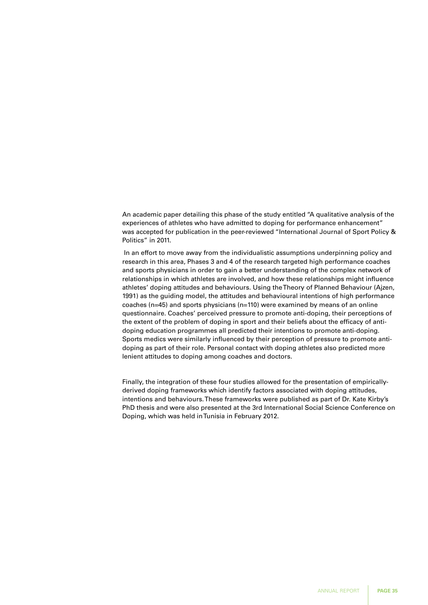An academic paper detailing this phase of the study entitled "A qualitative analysis of the experiences of athletes who have admitted to doping for performance enhancement" was accepted for publication in the peer-reviewed "International Journal of Sport Policy & Politics" in 2011.

In an effort to move away from the individualistic assumptions underpinning policy and research in this area, Phases 3 and 4 of the research targeted high performance coaches and sports physicians in order to gain a better understanding of the complex network of relationships in which athletes are involved, and how these relationships might influence athletes' doping attitudes and behaviours. Using the Theory of Planned Behaviour (Ajzen, 1991) as the guiding model, the attitudes and behavioural intentions of high performance coaches (n=45) and sports physicians (n=110) were examined by means of an online questionnaire. Coaches' perceived pressure to promote anti-doping, their perceptions of the extent of the problem of doping in sport and their beliefs about the efficacy of antidoping education programmes all predicted their intentions to promote anti-doping. Sports medics were similarly influenced by their perception of pressure to promote antidoping as part of their role. Personal contact with doping athletes also predicted more lenient attitudes to doping among coaches and doctors.

Finally, the integration of these four studies allowed for the presentation of empiricallyderived doping frameworks which identify factors associated with doping attitudes, intentions and behaviours. These frameworks were published as part of Dr. Kate Kirby's PhD thesis and were also presented at the 3rd International Social Science Conference on Doping, which was held in Tunisia in February 2012.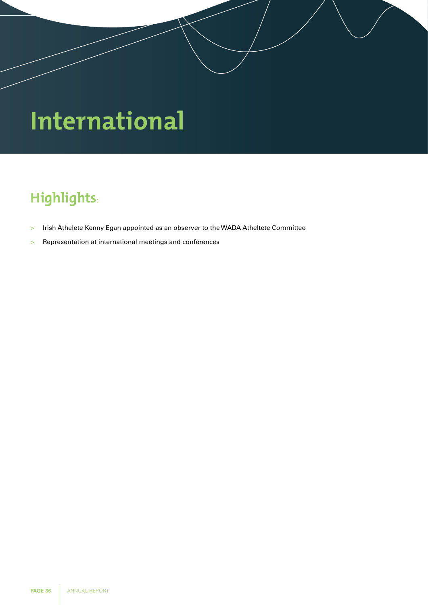# **International**

# **Highlights:**

- > Irish Athelete Kenny Egan appointed as an observer to the WADA Atheltete Committee
- > Representation at international meetings and conferences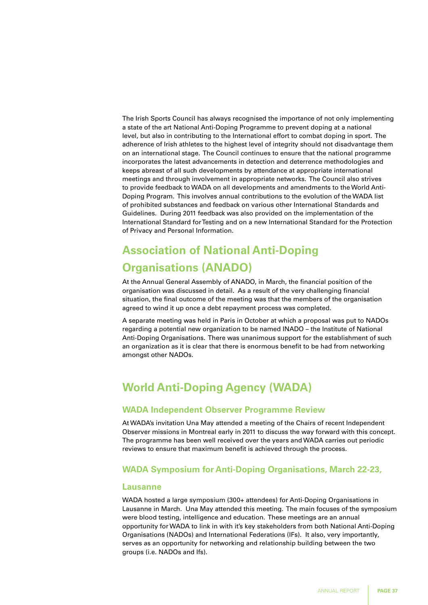The Irish Sports Council has always recognised the importance of not only implementing a state of the art National Anti-Doping Programme to prevent doping at a national level, but also in contributing to the International effort to combat doping in sport. The adherence of Irish athletes to the highest level of integrity should not disadvantage them on an international stage. The Council continues to ensure that the national programme incorporates the latest advancements in detection and deterrence methodologies and keeps abreast of all such developments by attendance at appropriate international meetings and through involvement in appropriate networks. The Council also strives to provide feedback to WADA on all developments and amendments to the World Anti-Doping Program. This involves annual contributions to the evolution of the WADA list of prohibited substances and feedback on various other International Standards and Guidelines. During 2011 feedback was also provided on the implementation of the International Standard for Testing and on a new International Standard for the Protection of Privacy and Personal Information.

## **Association of National Anti-Doping Organisations (ANADO)**

At the Annual General Assembly of ANADO, in March, the financial position of the organisation was discussed in detail. As a result of the very challenging financial situation, the final outcome of the meeting was that the members of the organisation agreed to wind it up once a debt repayment process was completed.

A separate meeting was held in Paris in October at which a proposal was put to NADOs regarding a potential new organization to be named INADO – the Institute of National Anti-Doping Organisations. There was unanimous support for the establishment of such an organization as it is clear that there is enormous benefit to be had from networking amongst other NADOs.

## **World Anti-Doping Agency (WADA)**

## **WADA Independent Observer Programme Review**

At WADA's invitation Una May attended a meeting of the Chairs of recent Independent Observer missions in Montreal early in 2011 to discuss the way forward with this concept. The programme has been well received over the years and WADA carries out periodic reviews to ensure that maximum benefit is achieved through the process.

## **WADA Symposium for Anti-Doping Organisations, March 22-23,**

#### **Lausanne**

WADA hosted a large symposium (300+ attendees) for Anti-Doping Organisations in Lausanne in March. Una May attended this meeting. The main focuses of the symposium were blood testing, intelligence and education. These meetings are an annual opportunity for WADA to link in with it's key stakeholders from both National Anti-Doping Organisations (NADOs) and International Federations (IFs). It also, very importantly, serves as an opportunity for networking and relationship building between the two groups (i.e. NADOs and Ifs).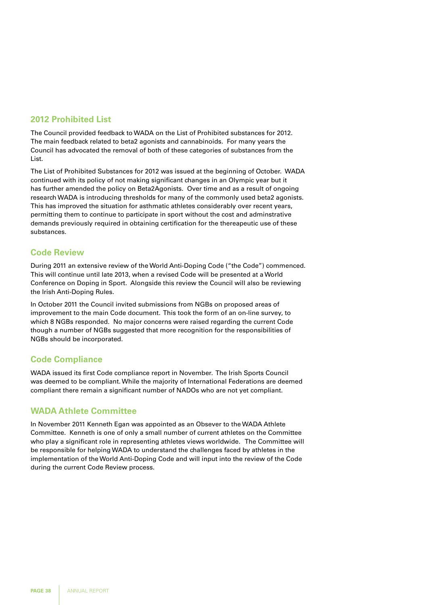## **2012 Prohibited List**

The Council provided feedback to WADA on the List of Prohibited substances for 2012. The main feedback related to beta2 agonists and cannabinoids. For many years the Council has advocated the removal of both of these categories of substances from the List.

The List of Prohibited Substances for 2012 was issued at the beginning of October. WADA continued with its policy of not making significant changes in an Olympic year but it has further amended the policy on Beta2Agonists. Over time and as a result of ongoing research WADA is introducing thresholds for many of the commonly used beta2 agonists. This has improved the situation for asthmatic athletes considerably over recent years, permitting them to continue to participate in sport without the cost and adminstrative demands previously required in obtaining certification for the thereapeutic use of these substances.

## **Code Review**

During 2011 an extensive review of the World Anti-Doping Code ("the Code") commenced. This will continue until late 2013, when a revised Code will be presented at a World Conference on Doping in Sport. Alongside this review the Council will also be reviewing the Irish Anti-Doping Rules.

In October 2011 the Council invited submissions from NGBs on proposed areas of improvement to the main Code document. This took the form of an on-line survey, to which 8 NGBs responded. No major concerns were raised regarding the current Code though a number of NGBs suggested that more recognition for the responsibilities of NGBs should be incorporated.

## **Code Compliance**

WADA issued its first Code compliance report in November. The Irish Sports Council was deemed to be compliant. While the majority of International Federations are deemed compliant there remain a significant number of NADOs who are not yet compliant.

## **WADA Athlete Committee**

In November 2011 Kenneth Egan was appointed as an Obsever to the WADA Athlete Committee. Kenneth is one of only a small number of current athletes on the Committee who play a significant role in representing athletes views worldwide. The Committee will be responsible for helping WADA to understand the challenges faced by athletes in the implementation of the World Anti-Doping Code and will input into the review of the Code during the current Code Review process.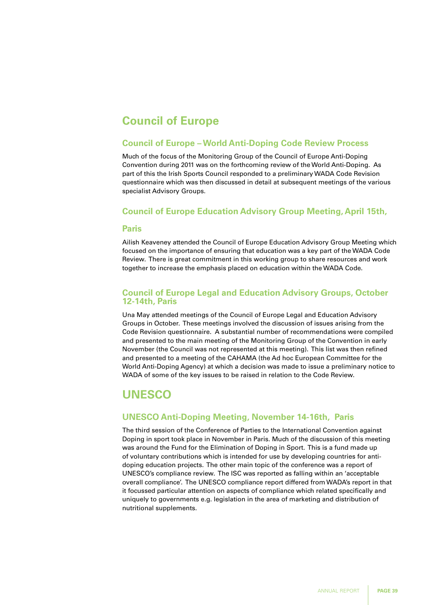## **Council of Europe**

### **Council of Europe – World Anti-Doping Code Review Process**

Much of the focus of the Monitoring Group of the Council of Europe Anti-Doping Convention during 2011 was on the forthcoming review of the World Anti-Doping. As part of this the Irish Sports Council responded to a preliminary WADA Code Revision questionnaire which was then discussed in detail at subsequent meetings of the various specialist Advisory Groups.

### **Council of Europe Education Advisory Group Meeting, April 15th,**

#### **Paris**

Ailish Keaveney attended the Council of Europe Education Advisory Group Meeting which focused on the importance of ensuring that education was a key part of the WADA Code Review. There is great commitment in this working group to share resources and work together to increase the emphasis placed on education within the WADA Code.

### **Council of Europe Legal and Education Advisory Groups, October 12-14th, Paris**

Una May attended meetings of the Council of Europe Legal and Education Advisory Groups in October. These meetings involved the discussion of issues arising from the Code Revision questionnaire. A substantial number of recommendations were compiled and presented to the main meeting of the Monitoring Group of the Convention in early November (the Council was not represented at this meeting). This list was then refined and presented to a meeting of the CAHAMA (the Ad hoc European Committee for the World Anti-Doping Agency) at which a decision was made to issue a preliminary notice to WADA of some of the key issues to be raised in relation to the Code Review.

## **UNESCO**

## **UNESCO Anti-Doping Meeting, November 14-16th, Paris**

The third session of the Conference of Parties to the International Convention against Doping in sport took place in November in Paris. Much of the discussion of this meeting was around the Fund for the Elimination of Doping in Sport. This is a fund made up of voluntary contributions which is intended for use by developing countries for antidoping education projects. The other main topic of the conference was a report of UNESCO's compliance review. The ISC was reported as falling within an 'acceptable overall compliance'. The UNESCO compliance report differed from WADA's report in that it focussed particular attention on aspects of compliance which related specifically and uniquely to governments e.g. legislation in the area of marketing and distribution of nutritional supplements.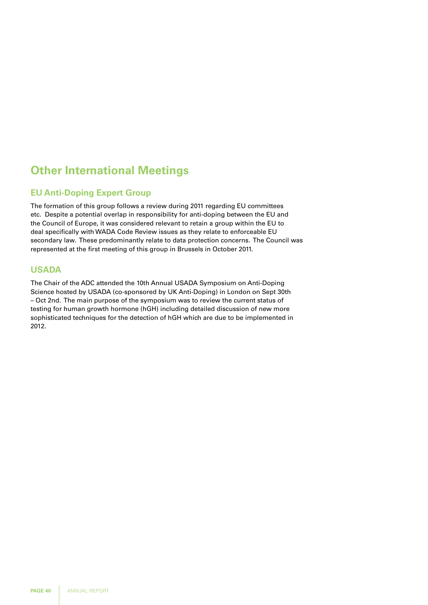## **Other International Meetings**

## **EU Anti-Doping Expert Group**

The formation of this group follows a review during 2011 regarding EU committees etc. Despite a potential overlap in responsibility for anti-doping between the EU and the Council of Europe, it was considered relevant to retain a group within the EU to deal specifically with WADA Code Review issues as they relate to enforceable EU secondary law. These predominantly relate to data protection concerns. The Council was represented at the first meeting of this group in Brussels in October 2011.

## **USADA**

The Chair of the ADC attended the 10th Annual USADA Symposium on Anti-Doping Science hosted by USADA (co-sponsored by UK Anti-Doping) in London on Sept 30th – Oct 2nd. The main purpose of the symposium was to review the current status of testing for human growth hormone (hGH) including detailed discussion of new more sophisticated techniques for the detection of hGH which are due to be implemented in 2012.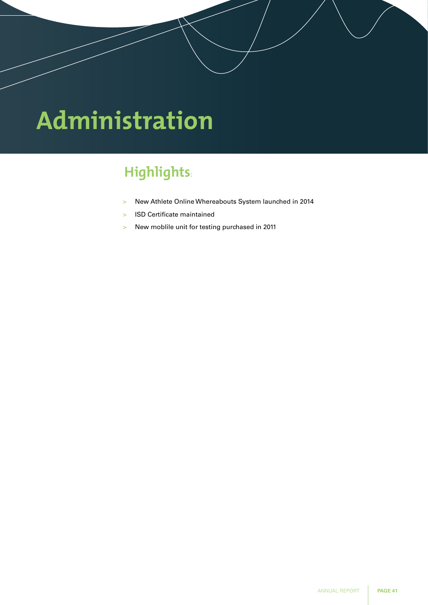# **Administration**

# **Highlights:**

- > New Athlete Online Whereabouts System launched in 2014
- > ISD Certificate maintained
- > New moblile unit for testing purchased in 2011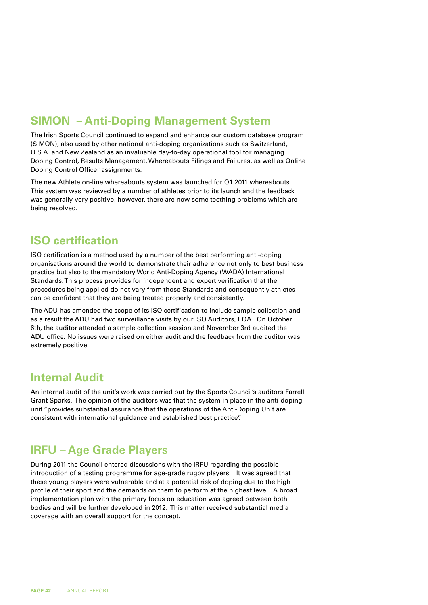## **SIMON – Anti-Doping Management System**

The Irish Sports Council continued to expand and enhance our custom database program (SIMON), also used by other national anti-doping organizations such as Switzerland, U.S.A. and New Zealand as an invaluable day-to-day operational tool for managing Doping Control, Results Management, Whereabouts Filings and Failures, as well as Online Doping Control Officer assignments.

The new Athlete on-line whereabouts system was launched for Q1 2011 whereabouts. This system was reviewed by a number of athletes prior to its launch and the feedback was generally very positive, however, there are now some teething problems which are being resolved.

## **ISO certification**

ISO certification is a method used by a number of the best performing anti-doping organisations around the world to demonstrate their adherence not only to best business practice but also to the mandatory World Anti-Doping Agency (WADA) International Standards. This process provides for independent and expert verification that the procedures being applied do not vary from those Standards and consequently athletes can be confident that they are being treated properly and consistently.

The ADU has amended the scope of its ISO certification to include sample collection and as a result the ADU had two surveillance visits by our ISO Auditors, EQA. On October 6th, the auditor attended a sample collection session and November 3rd audited the ADU office. No issues were raised on either audit and the feedback from the auditor was extremely positive.

## **Internal Audit**

An internal audit of the unit's work was carried out by the Sports Council's auditors Farrell Grant Sparks. The opinion of the auditors was that the system in place in the anti-doping unit "provides substantial assurance that the operations of the Anti-Doping Unit are consistent with international guidance and established best practice".

## **IRFU – Age Grade Players**

During 2011 the Council entered discussions with the IRFU regarding the possible introduction of a testing programme for age-grade rugby players. It was agreed that these young players were vulnerable and at a potential risk of doping due to the high profile of their sport and the demands on them to perform at the highest level. A broad implementation plan with the primary focus on education was agreed between both bodies and will be further developed in 2012. This matter received substantial media coverage with an overall support for the concept.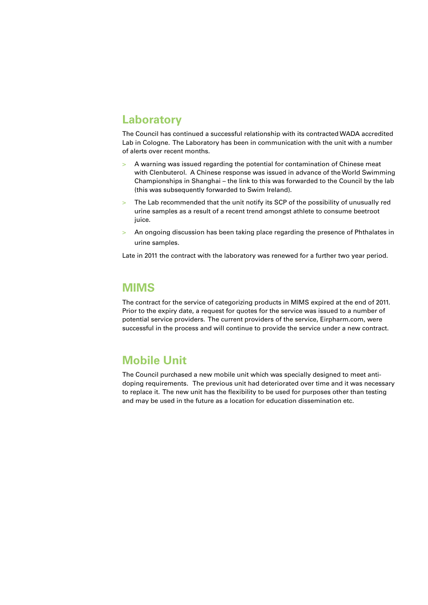## **Laboratory**

The Council has continued a successful relationship with its contracted WADA accredited Lab in Cologne. The Laboratory has been in communication with the unit with a number of alerts over recent months.

- > A warning was issued regarding the potential for contamination of Chinese meat with Clenbuterol. A Chinese response was issued in advance of the World Swimming Championships in Shanghai – the link to this was forwarded to the Council by the lab (this was subsequently forwarded to Swim Ireland).
- > The Lab recommended that the unit notify its SCP of the possibility of unusually red urine samples as a result of a recent trend amongst athlete to consume beetroot juice.
- > An ongoing discussion has been taking place regarding the presence of Phthalates in urine samples.

Late in 2011 the contract with the laboratory was renewed for a further two year period.

## **MIMS**

The contract for the service of categorizing products in MIMS expired at the end of 2011. Prior to the expiry date, a request for quotes for the service was issued to a number of potential service providers. The current providers of the service, Eirpharm.com, were successful in the process and will continue to provide the service under a new contract.

## **Mobile Unit**

The Council purchased a new mobile unit which was specially designed to meet antidoping requirements. The previous unit had deteriorated over time and it was necessary to replace it. The new unit has the flexibility to be used for purposes other than testing and may be used in the future as a location for education dissemination etc.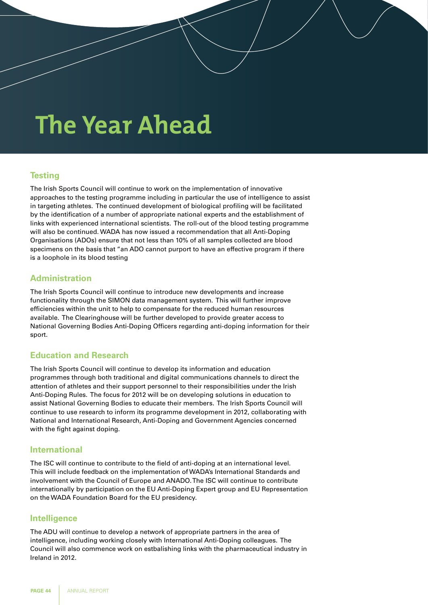# **The Year Ahead**

## **Testing**

The Irish Sports Council will continue to work on the implementation of innovative approaches to the testing programme including in particular the use of intelligence to assist in targeting athletes. The continued development of biological profiling will be facilitated by the identification of a number of appropriate national experts and the establishment of links with experienced international scientists. The roll-out of the blood testing programme will also be continued. WADA has now issued a recommendation that all Anti-Doping Organisations (ADOs) ensure that not less than 10% of all samples collected are blood specimens on the basis that "an ADO cannot purport to have an effective program if there is a loophole in its blood testing

## **Administration**

The Irish Sports Council will continue to introduce new developments and increase functionality through the SIMON data management system. This will further improve efficiencies within the unit to help to compensate for the reduced human resources available. The Clearinghouse will be further developed to provide greater access to National Governing Bodies Anti-Doping Officers regarding anti-doping information for their sport.

### **Education and Research**

The Irish Sports Council will continue to develop its information and education programmes through both traditional and digital communications channels to direct the attention of athletes and their support personnel to their responsibilities under the Irish Anti-Doping Rules. The focus for 2012 will be on developing solutions in education to assist National Governing Bodies to educate their members. The Irish Sports Council will continue to use research to inform its programme development in 2012, collaborating with National and International Research, Anti-Doping and Government Agencies concerned with the fight against doping.

### **International**

The ISC will continue to contribute to the field of anti-doping at an international level. This will include feedback on the implementation of WADA's International Standards and involvement with the Council of Europe and ANADO. The ISC will continue to contribute internationally by participation on the EU Anti-Doping Expert group and EU Representation on the WADA Foundation Board for the EU presidency.

### **Intelligence**

The ADU will continue to develop a network of appropriate partners in the area of intelligence, including working closely with International Anti-Doping colleagues. The Council will also commence work on estbalishing links with the pharmaceutical industry in Ireland in 2012.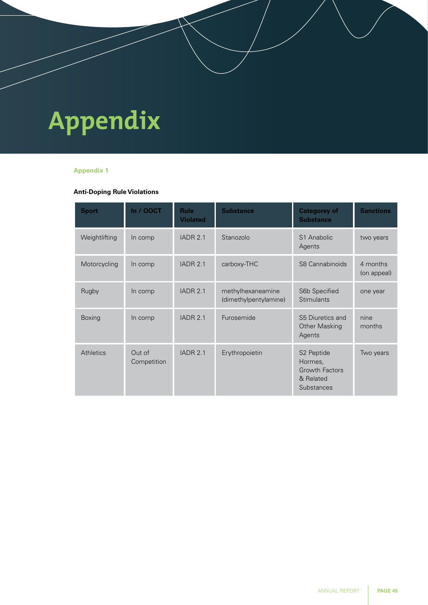# **Appendix**

### **Appendix 1**

### **Anti-Doping Rule Violations**

| <b>Sport</b>  | <b>In / OOCT</b>      | <b>Rule</b><br><b>Violated</b> | <b>Substance</b>                           | <b>Categorey of</b><br><b>Substance</b>                                               | <b>Sanctions</b>        |
|---------------|-----------------------|--------------------------------|--------------------------------------------|---------------------------------------------------------------------------------------|-------------------------|
| Weightlifting | In comp               | <b>IADR 2.1</b>                | Stanozolo                                  | S1 Anabolic<br>Agents                                                                 | two years               |
| Motorcycling  | In comp               | <b>IADR 2.1</b>                | carboxy-THC                                | S8 Cannabinoids                                                                       | 4 months<br>(on appeal) |
| Rugby         | In comp               | <b>IADR 2.1</b>                | methylhexaneamine<br>(dimethylpentylamine) | S6b Specified<br><b>Stimulants</b>                                                    | one year                |
| <b>Boxing</b> | In comp               | <b>IADR 2.1</b>                | Furosemide                                 | S5 Diuretics and<br><b>Other Masking</b><br>Agents                                    | nine<br>months          |
| Athletics     | Out of<br>Competition | <b>IADR 2.1</b>                | Erythropoietin                             | S <sub>2</sub> Peptide<br>Hormes,<br><b>Growth Factors</b><br>& Related<br>Substances | Two years               |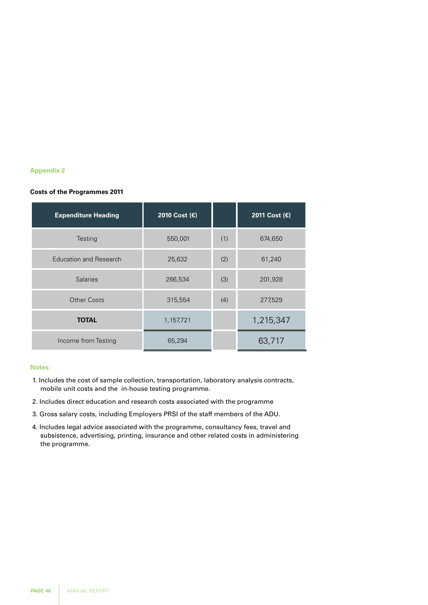#### **Appendix 2**

#### **Costs of the Programmes 2011**

| <b>Expenditure Heading</b> | 2010 Cost (€) |     | 2011 Cost (€) |
|----------------------------|---------------|-----|---------------|
| Testing                    | 550,001       | (1) | 674,650       |
| Education and Research     | 25,632        | (2) | 61,240        |
| <b>Salaries</b>            | 266,534       | (3) | 201,928       |
| <b>Other Costs</b>         | 315,554       | (4) | 277,529       |
| <b>TOTAL</b>               | 1,157,721     |     | 1,215,347     |
| Income from Testing        | 65,294        |     | 63,717        |

#### **Notes:**

- 1. Includes the cost of sample collection, transportation, laboratory analysis contracts, mobile unit costs and the in-house testing programme.
- 2. Includes direct education and research costs associated with the programme
- 3. Gross salary costs, including Employers PRSI of the staff members of the ADU.
- 4. Includes legal advice associated with the programme, consultancy fees, travel and subsistence, advertising, printing, insurance and other related costs in administering the programme.